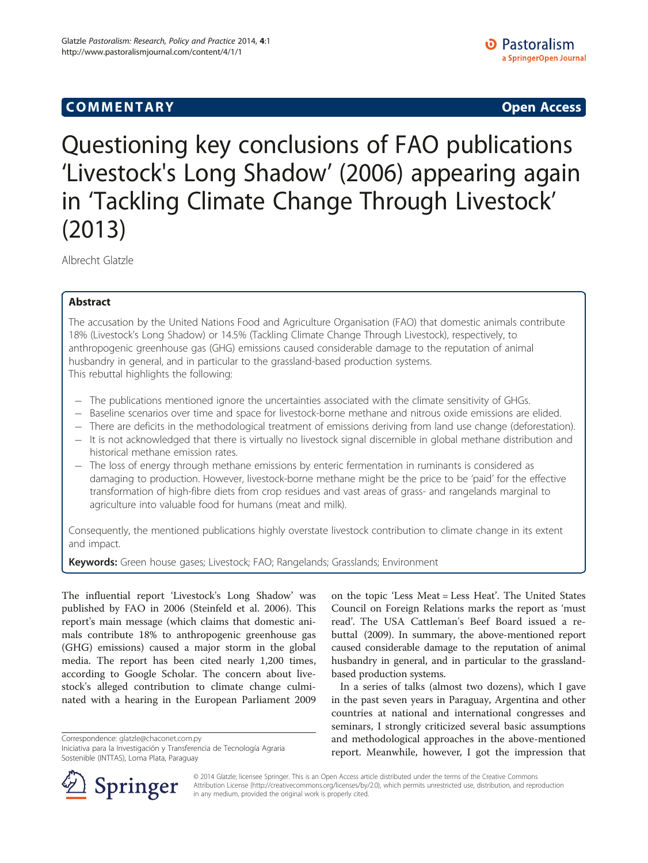## COMM EN TARY Open Access

# Questioning key conclusions of FAO publications 'Livestock's Long Shadow' (2006) appearing again in 'Tackling Climate Change Through Livestock' (2013)

Albrecht Glatzle

## Abstract

The accusation by the United Nations Food and Agriculture Organisation (FAO) that domestic animals contribute 18% (Livestock's Long Shadow) or 14.5% (Tackling Climate Change Through Livestock), respectively, to anthropogenic greenhouse gas (GHG) emissions caused considerable damage to the reputation of animal husbandry in general, and in particular to the grassland-based production systems. This rebuttal highlights the following:

- The publications mentioned ignore the uncertainties associated with the climate sensitivity of GHGs.
- $-$  Baseline scenarios over time and space for livestock-borne methane and nitrous oxide emissions are elided.
- There are deficits in the methodological treatment of emissions deriving from land use change (deforestation).
- It is not acknowledged that there is virtually no livestock signal discernible in global methane distribution and historical methane emission rates.
- The loss of energy through methane emissions by enteric fermentation in ruminants is considered as damaging to production. However, livestock-borne methane might be the price to be 'paid' for the effective transformation of high-fibre diets from crop residues and vast areas of grass- and rangelands marginal to agriculture into valuable food for humans (meat and milk).

Consequently, the mentioned publications highly overstate livestock contribution to climate change in its extent and impact.

Keywords: Green house gases; Livestock; FAO; Rangelands; Grasslands; Environment

The influential report 'Livestock's Long Shadow' was published by FAO in 2006 (Steinfeld et al. [2006\)](#page-5-0). This report's main message (which claims that domestic animals contribute 18% to anthropogenic greenhouse gas (GHG) emissions) caused a major storm in the global media. The report has been cited nearly 1,200 times, according to Google Scholar. The concern about livestock's alleged contribution to climate change culminated with a hearing in the European Parliament [2009](#page-4-0)

Correspondence: [glatzle@chaconet.com.py](mailto:glatzle@chaconet.com.py)

on the topic 'Less Meat = Less Heat'. The United States Council on Foreign Relations marks the report as 'must read'. The USA Cattleman's Beef Board issued a rebuttal ([2009\)](#page-4-0). In summary, the above-mentioned report caused considerable damage to the reputation of animal husbandry in general, and in particular to the grasslandbased production systems.

In a series of talks (almost two dozens), which I gave in the past seven years in Paraguay, Argentina and other countries at national and international congresses and seminars, I strongly criticized several basic assumptions and methodological approaches in the above-mentioned report. Meanwhile, however, I got the impression that



© 2014 Glatzle; licensee Springer. This is an Open Access article distributed under the terms of the Creative Commons Attribution License [\(http://creativecommons.org/licenses/by/2.0\)](http://creativecommons.org/licenses/by/2.0), which permits unrestricted use, distribution, and reproduction in any medium, provided the original work is properly cited.

Iniciativa para la Investigación y Transferencia de Tecnología Agraria Sostenible (INTTAS), Loma Plata, Paraguay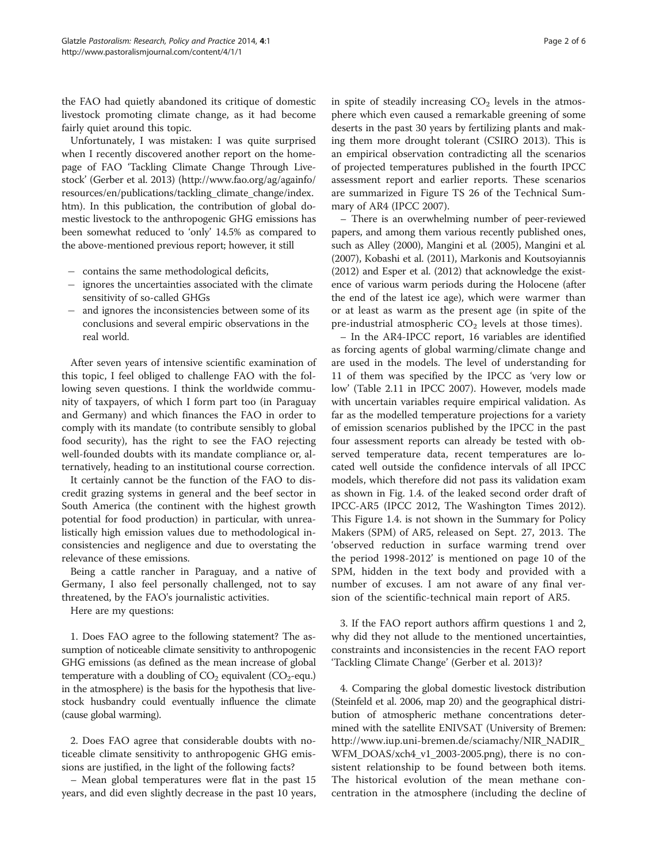the FAO had quietly abandoned its critique of domestic livestock promoting climate change, as it had become fairly quiet around this topic.

Unfortunately, I was mistaken: I was quite surprised when I recently discovered another report on the homepage of FAO 'Tackling Climate Change Through Livestock' (Gerber et al. [2013\)](#page-4-0) [\(http://www.fao.org/ag/againfo/](http://www.fao.org/ag/againfo/resources/en/publications/tackling_climate_change/index.htm) [resources/en/publications/tackling\\_climate\\_change/index.](http://www.fao.org/ag/againfo/resources/en/publications/tackling_climate_change/index.htm) [htm](http://www.fao.org/ag/againfo/resources/en/publications/tackling_climate_change/index.htm)). In this publication, the contribution of global domestic livestock to the anthropogenic GHG emissions has been somewhat reduced to 'only' 14.5% as compared to the above-mentioned previous report; however, it still

- contains the same methodological deficits,
- ignores the uncertainties associated with the climate sensitivity of so-called GHGs
- and ignores the inconsistencies between some of its conclusions and several empiric observations in the real world.

After seven years of intensive scientific examination of this topic, I feel obliged to challenge FAO with the following seven questions. I think the worldwide community of taxpayers, of which I form part too (in Paraguay and Germany) and which finances the FAO in order to comply with its mandate (to contribute sensibly to global food security), has the right to see the FAO rejecting well-founded doubts with its mandate compliance or, alternatively, heading to an institutional course correction.

It certainly cannot be the function of the FAO to discredit grazing systems in general and the beef sector in South America (the continent with the highest growth potential for food production) in particular, with unrealistically high emission values due to methodological inconsistencies and negligence and due to overstating the relevance of these emissions.

Being a cattle rancher in Paraguay, and a native of Germany, I also feel personally challenged, not to say threatened, by the FAO's journalistic activities.

Here are my questions:

1. Does FAO agree to the following statement? The assumption of noticeable climate sensitivity to anthropogenic GHG emissions (as defined as the mean increase of global temperature with a doubling of  $CO<sub>2</sub>$  equivalent ( $CO<sub>2</sub>$ -equ.) in the atmosphere) is the basis for the hypothesis that livestock husbandry could eventually influence the climate (cause global warming).

2. Does FAO agree that considerable doubts with noticeable climate sensitivity to anthropogenic GHG emissions are justified, in the light of the following facts?

– Mean global temperatures were flat in the past 15 years, and did even slightly decrease in the past 10 years,

in spite of steadily increasing  $CO<sub>2</sub>$  levels in the atmosphere which even caused a remarkable greening of some deserts in the past 30 years by fertilizing plants and making them more drought tolerant (CSIRO [2013\)](#page-4-0). This is an empirical observation contradicting all the scenarios of projected temperatures published in the fourth IPCC assessment report and earlier reports. These scenarios are summarized in Figure TS 26 of the Technical Summary of AR4 (IPCC [2007](#page-4-0)).

– There is an overwhelming number of peer-reviewed papers, and among them various recently published ones, such as Alley [\(2000\)](#page-4-0), Mangini et al. ([2005\)](#page-4-0), Mangini et al. ([2007](#page-4-0)), Kobashi et al. ([2011\)](#page-4-0), Markonis and Koutsoyiannis ([2012](#page-5-0)) and Esper et al. [\(2012\)](#page-4-0) that acknowledge the existence of various warm periods during the Holocene (after the end of the latest ice age), which were warmer than or at least as warm as the present age (in spite of the pre-industrial atmospheric  $CO<sub>2</sub>$  levels at those times).

– In the AR4-IPCC report, 16 variables are identified as forcing agents of global warming/climate change and are used in the models. The level of understanding for 11 of them was specified by the IPCC as 'very low or low' (Table 2.11 in IPCC [2007](#page-4-0)). However, models made with uncertain variables require empirical validation. As far as the modelled temperature projections for a variety of emission scenarios published by the IPCC in the past four assessment reports can already be tested with observed temperature data, recent temperatures are located well outside the confidence intervals of all IPCC models, which therefore did not pass its validation exam as shown in Fig. 1.4. of the leaked second order draft of IPCC-AR5 (IPCC [2012](#page-4-0), The Washington Times [2012](#page-5-0)). This Figure 1.4. is not shown in the Summary for Policy Makers (SPM) of AR5, released on Sept. 27, 2013. The 'observed reduction in surface warming trend over the period 1998-2012' is mentioned on page 10 of the SPM, hidden in the text body and provided with a number of excuses. I am not aware of any final version of the scientific-technical main report of AR5.

3. If the FAO report authors affirm questions 1 and 2, why did they not allude to the mentioned uncertainties, constraints and inconsistencies in the recent FAO report 'Tackling Climate Change' (Gerber et al. [2013\)](#page-4-0)?

4. Comparing the global domestic livestock distribution (Steinfeld et al. [2006,](#page-5-0) map 20) and the geographical distribution of atmospheric methane concentrations determined with the satellite ENIVSAT (University of Bremen: [http://www.iup.uni-bremen.de/sciamachy/NIR\\_NADIR\\_](http://www.iup.uni-bremen.de/sciamachy/NIR_NADIR_WFM_DOAS/xch4_v1_2003-2005.png) [WFM\\_DOAS/xch4\\_v1\\_2003-2005.png\)](http://www.iup.uni-bremen.de/sciamachy/NIR_NADIR_WFM_DOAS/xch4_v1_2003-2005.png), there is no consistent relationship to be found between both items. The historical evolution of the mean methane concentration in the atmosphere (including the decline of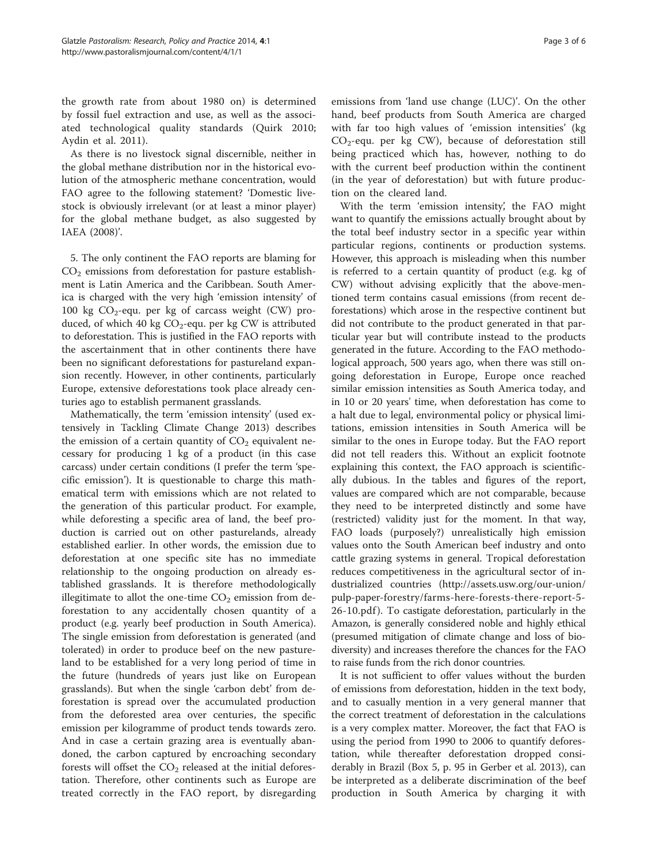the growth rate from about 1980 on) is determined by fossil fuel extraction and use, as well as the associated technological quality standards (Quirk [2010](#page-5-0); Aydin et al. [2011\)](#page-4-0).

As there is no livestock signal discernible, neither in the global methane distribution nor in the historical evolution of the atmospheric methane concentration, would FAO agree to the following statement? 'Domestic livestock is obviously irrelevant (or at least a minor player) for the global methane budget, as also suggested by IAEA ([2008](#page-4-0))'.

5. The only continent the FAO reports are blaming for  $CO<sub>2</sub>$  emissions from deforestation for pasture establishment is Latin America and the Caribbean. South America is charged with the very high 'emission intensity' of 100 kg  $CO_2$ -equ. per kg of carcass weight (CW) produced, of which 40 kg  $CO_2$ -equ. per kg CW is attributed to deforestation. This is justified in the FAO reports with the ascertainment that in other continents there have been no significant deforestations for pastureland expansion recently. However, in other continents, particularly Europe, extensive deforestations took place already centuries ago to establish permanent grasslands.

Mathematically, the term 'emission intensity' (used extensively in Tackling Climate Change 2013) describes the emission of a certain quantity of  $CO<sub>2</sub>$  equivalent necessary for producing 1 kg of a product (in this case carcass) under certain conditions (I prefer the term 'specific emission'). It is questionable to charge this mathematical term with emissions which are not related to the generation of this particular product. For example, while deforesting a specific area of land, the beef production is carried out on other pasturelands, already established earlier. In other words, the emission due to deforestation at one specific site has no immediate relationship to the ongoing production on already established grasslands. It is therefore methodologically illegitimate to allot the one-time  $CO<sub>2</sub>$  emission from deforestation to any accidentally chosen quantity of a product (e.g. yearly beef production in South America). The single emission from deforestation is generated (and tolerated) in order to produce beef on the new pastureland to be established for a very long period of time in the future (hundreds of years just like on European grasslands). But when the single 'carbon debt' from deforestation is spread over the accumulated production from the deforested area over centuries, the specific emission per kilogramme of product tends towards zero. And in case a certain grazing area is eventually abandoned, the carbon captured by encroaching secondary forests will offset the  $CO<sub>2</sub>$  released at the initial deforestation. Therefore, other continents such as Europe are treated correctly in the FAO report, by disregarding

emissions from 'land use change (LUC)'. On the other hand, beef products from South America are charged with far too high values of 'emission intensities' (kg  $CO<sub>2</sub>$ -equ. per kg CW), because of deforestation still being practiced which has, however, nothing to do with the current beef production within the continent (in the year of deforestation) but with future production on the cleared land.

With the term 'emission intensity', the FAO might want to quantify the emissions actually brought about by the total beef industry sector in a specific year within particular regions, continents or production systems. However, this approach is misleading when this number is referred to a certain quantity of product (e.g. kg of CW) without advising explicitly that the above-mentioned term contains casual emissions (from recent deforestations) which arose in the respective continent but did not contribute to the product generated in that particular year but will contribute instead to the products generated in the future. According to the FAO methodological approach, 500 years ago, when there was still ongoing deforestation in Europe, Europe once reached similar emission intensities as South America today, and in 10 or 20 years' time, when deforestation has come to a halt due to legal, environmental policy or physical limitations, emission intensities in South America will be similar to the ones in Europe today. But the FAO report did not tell readers this. Without an explicit footnote explaining this context, the FAO approach is scientifically dubious. In the tables and figures of the report, values are compared which are not comparable, because they need to be interpreted distinctly and some have (restricted) validity just for the moment. In that way, FAO loads (purposely?) unrealistically high emission values onto the South American beef industry and onto cattle grazing systems in general. Tropical deforestation reduces competitiveness in the agricultural sector of industrialized countries ([http://assets.usw.org/our-union/](http://assets.usw.org/our-union/pulp-paper-forestry/farms-here-forests-there-report-5-26-10.pdf) [pulp-paper-forestry/farms-here-forests-there-report-5-](http://assets.usw.org/our-union/pulp-paper-forestry/farms-here-forests-there-report-5-26-10.pdf) [26-10.pdf](http://assets.usw.org/our-union/pulp-paper-forestry/farms-here-forests-there-report-5-26-10.pdf)). To castigate deforestation, particularly in the Amazon, is generally considered noble and highly ethical (presumed mitigation of climate change and loss of biodiversity) and increases therefore the chances for the FAO to raise funds from the rich donor countries.

It is not sufficient to offer values without the burden of emissions from deforestation, hidden in the text body, and to casually mention in a very general manner that the correct treatment of deforestation in the calculations is a very complex matter. Moreover, the fact that FAO is using the period from 1990 to 2006 to quantify deforestation, while thereafter deforestation dropped considerably in Brazil (Box 5, p. 95 in Gerber et al. [2013\)](#page-4-0), can be interpreted as a deliberate discrimination of the beef production in South America by charging it with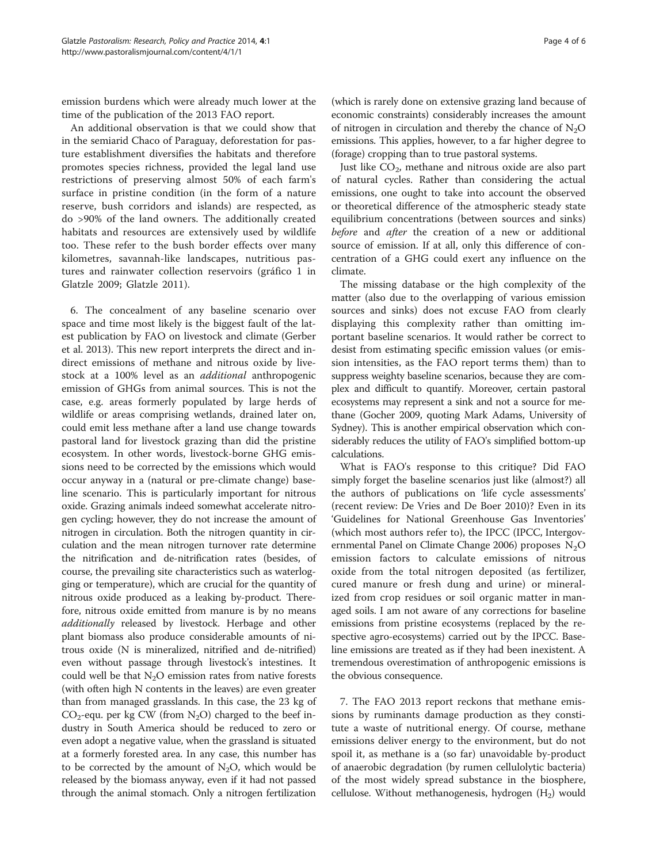emission burdens which were already much lower at the time of the publication of the 2013 FAO report.

An additional observation is that we could show that in the semiarid Chaco of Paraguay, deforestation for pasture establishment diversifies the habitats and therefore promotes species richness, provided the legal land use restrictions of preserving almost 50% of each farm's surface in pristine condition (in the form of a nature reserve, bush corridors and islands) are respected, as do >90% of the land owners. The additionally created habitats and resources are extensively used by wildlife too. These refer to the bush border effects over many kilometres, savannah-like landscapes, nutritious pastures and rainwater collection reservoirs (gráfico 1 in Glatzle [2009;](#page-4-0) Glatzle [2011](#page-4-0)).

6. The concealment of any baseline scenario over space and time most likely is the biggest fault of the latest publication by FAO on livestock and climate (Gerber et al. [2013\)](#page-4-0). This new report interprets the direct and indirect emissions of methane and nitrous oxide by livestock at a 100% level as an additional anthropogenic emission of GHGs from animal sources. This is not the case, e.g. areas formerly populated by large herds of wildlife or areas comprising wetlands, drained later on, could emit less methane after a land use change towards pastoral land for livestock grazing than did the pristine ecosystem. In other words, livestock-borne GHG emissions need to be corrected by the emissions which would occur anyway in a (natural or pre-climate change) baseline scenario. This is particularly important for nitrous oxide. Grazing animals indeed somewhat accelerate nitrogen cycling; however, they do not increase the amount of nitrogen in circulation. Both the nitrogen quantity in circulation and the mean nitrogen turnover rate determine the nitrification and de-nitrification rates (besides, of course, the prevailing site characteristics such as waterlogging or temperature), which are crucial for the quantity of nitrous oxide produced as a leaking by-product. Therefore, nitrous oxide emitted from manure is by no means additionally released by livestock. Herbage and other plant biomass also produce considerable amounts of nitrous oxide (N is mineralized, nitrified and de-nitrified) even without passage through livestock's intestines. It could well be that  $N_2O$  emission rates from native forests (with often high N contents in the leaves) are even greater than from managed grasslands. In this case, the 23 kg of  $CO_2$ -equ. per kg CW (from N<sub>2</sub>O) charged to the beef industry in South America should be reduced to zero or even adopt a negative value, when the grassland is situated at a formerly forested area. In any case, this number has to be corrected by the amount of  $N_2O$ , which would be released by the biomass anyway, even if it had not passed through the animal stomach. Only a nitrogen fertilization

(which is rarely done on extensive grazing land because of economic constraints) considerably increases the amount of nitrogen in circulation and thereby the chance of  $N_2O$ emissions. This applies, however, to a far higher degree to (forage) cropping than to true pastoral systems.

Just like  $CO<sub>2</sub>$ , methane and nitrous oxide are also part of natural cycles. Rather than considering the actual emissions, one ought to take into account the observed or theoretical difference of the atmospheric steady state equilibrium concentrations (between sources and sinks) before and after the creation of a new or additional source of emission. If at all, only this difference of concentration of a GHG could exert any influence on the climate.

The missing database or the high complexity of the matter (also due to the overlapping of various emission sources and sinks) does not excuse FAO from clearly displaying this complexity rather than omitting important baseline scenarios. It would rather be correct to desist from estimating specific emission values (or emission intensities, as the FAO report terms them) than to suppress weighty baseline scenarios, because they are complex and difficult to quantify. Moreover, certain pastoral ecosystems may represent a sink and not a source for methane (Gocher [2009](#page-4-0), quoting Mark Adams, University of Sydney). This is another empirical observation which considerably reduces the utility of FAO's simplified bottom-up calculations.

What is FAO's response to this critique? Did FAO simply forget the baseline scenarios just like (almost?) all the authors of publications on 'life cycle assessments' (recent review: De Vries and De Boer [2010\)](#page-5-0)? Even in its 'Guidelines for National Greenhouse Gas Inventories' (which most authors refer to), the IPCC (IPCC, Intergov-ernmental Panel on Climate Change [2006\)](#page-4-0) proposes  $N_2O$ emission factors to calculate emissions of nitrous oxide from the total nitrogen deposited (as fertilizer, cured manure or fresh dung and urine) or mineralized from crop residues or soil organic matter in managed soils. I am not aware of any corrections for baseline emissions from pristine ecosystems (replaced by the respective agro-ecosystems) carried out by the IPCC. Baseline emissions are treated as if they had been inexistent. A tremendous overestimation of anthropogenic emissions is the obvious consequence.

7. The FAO 2013 report reckons that methane emissions by ruminants damage production as they constitute a waste of nutritional energy. Of course, methane emissions deliver energy to the environment, but do not spoil it, as methane is a (so far) unavoidable by-product of anaerobic degradation (by rumen cellulolytic bacteria) of the most widely spread substance in the biosphere, cellulose. Without methanogenesis, hydrogen  $(H<sub>2</sub>)$  would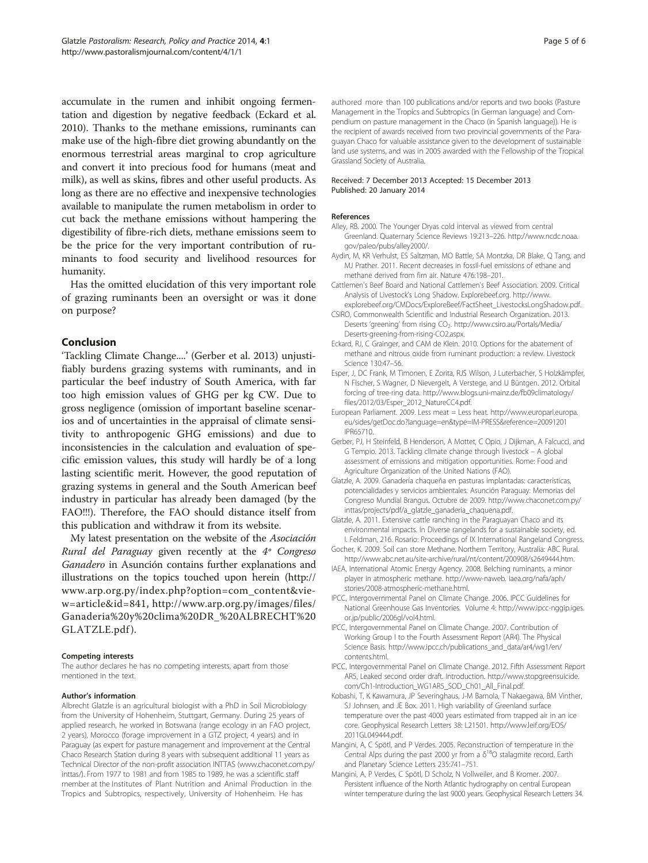<span id="page-4-0"></span>accumulate in the rumen and inhibit ongoing fermentation and digestion by negative feedback (Eckard et al. 2010). Thanks to the methane emissions, ruminants can make use of the high-fibre diet growing abundantly on the enormous terrestrial areas marginal to crop agriculture and convert it into precious food for humans (meat and milk), as well as skins, fibres and other useful products. As long as there are no effective and inexpensive technologies available to manipulate the rumen metabolism in order to cut back the methane emissions without hampering the digestibility of fibre-rich diets, methane emissions seem to be the price for the very important contribution of ruminants to food security and livelihood resources for humanity.

Has the omitted elucidation of this very important role of grazing ruminants been an oversight or was it done on purpose?

### Conclusion

'Tackling Climate Change....' (Gerber et al. 2013) unjustifiably burdens grazing systems with ruminants, and in particular the beef industry of South America, with far too high emission values of GHG per kg CW. Due to gross negligence (omission of important baseline scenarios and of uncertainties in the appraisal of climate sensitivity to anthropogenic GHG emissions) and due to inconsistencies in the calculation and evaluation of specific emission values, this study will hardly be of a long lasting scientific merit. However, the good reputation of grazing systems in general and the South American beef industry in particular has already been damaged (by the FAO!!!). Therefore, the FAO should distance itself from this publication and withdraw it from its website.

My latest presentation on the website of the Asociación Rural del Paraguay given recently at the 4º Congreso Ganadero in Asunción contains further explanations and illustrations on the topics touched upon herein ([http://](http://www.arp.org.py/index.php?option=com_content&view=article&id=841) [www.arp.org.py/index.php?option=com\\_content&vie](http://www.arp.org.py/index.php?option=com_content&view=article&id=841)[w=article&id=841,](http://www.arp.org.py/index.php?option=com_content&view=article&id=841) [http://www.arp.org.py/images/files/](http://www.arp.org.py/images/files/Ganaderia%20y%20clima%20DR_%20ALBRECHT%20GLATZLE.pdf) [Ganaderia%20y%20clima%20DR\\_%20ALBRECHT%20](http://www.arp.org.py/images/files/Ganaderia%20y%20clima%20DR_%20ALBRECHT%20GLATZLE.pdf) [GLATZLE.pdf](http://www.arp.org.py/images/files/Ganaderia%20y%20clima%20DR_%20ALBRECHT%20GLATZLE.pdf) ).

#### Competing interests

The author declares he has no competing interests, apart from those mentioned in the text.

#### Author's information

Albrecht Glatzle is an agricultural biologist with a PhD in Soil Microbiology from the University of Hohenheim, Stuttgart, Germany. During 25 years of applied research, he worked in Botswana (range ecology in an FAO project, 2 years), Morocco (forage improvement in a GTZ project, 4 years) and in Paraguay (as expert for pasture management and improvement at the Central Chaco Research Station during 8 years with subsequent additional 11 years as Technical Director of the non-profit association INTTAS [\(www.chaconet.com.py/](www.chaconet.com.py/inttas/) [inttas/\)](www.chaconet.com.py/inttas/). From 1977 to 1981 and from 1985 to 1989, he was a scientific staff member at the Institutes of Plant Nutrition and Animal Production in the Tropics and Subtropics, respectively, University of Hohenheim. He has

authored more than 100 publications and/or reports and two books (Pasture Management in the Tropics and Subtropics (in German language) and Compendium on pasture management in the Chaco (in Spanish language)). He is the recipient of awards received from two provincial governments of the Paraguayan Chaco for valuable assistance given to the development of sustainable land use systems, and was in 2005 awarded with the Fellowship of the Tropical Grassland Society of Australia.

#### Received: 7 December 2013 Accepted: 15 December 2013 Published: 20 January 2014

#### References

- Alley, RB. 2000. The Younger Dryas cold interval as viewed from central Greenland. Quaternary Science Reviews 19:213–226. [http://www.ncdc.noaa.](http://www.ncdc.noaa.gov/paleo/pubs/alley2000/) [gov/paleo/pubs/alley2000/](http://www.ncdc.noaa.gov/paleo/pubs/alley2000/).
- Aydin, M, KR Verhulst, ES Saltzman, MO Battle, SA Montzka, DR Blake, Q Tang, and MJ Prather. 2011. Recent decreases in fossil-fuel emissions of ethane and methane derived from firn air. Nature 476:198–201.
- Cattlemen's Beef Board and National Cattlemen's Beef Association. 2009. Critical Analysis of Livestock's Long Shadow. Explorebeef.org. [http://www.](http://www.explorebeef.org/CMDocs/ExploreBeef/FactSheet_LivestocksLongShadow.pdf) [explorebeef.org/CMDocs/ExploreBeef/FactSheet\\_LivestocksLongShadow.pdf](http://www.explorebeef.org/CMDocs/ExploreBeef/FactSheet_LivestocksLongShadow.pdf).
- CSIRO, Commonwealth Scientific and Industrial Research Organization. 2013. Deserts 'greening' from rising CO<sub>2</sub>. [http://www.csiro.au/Portals/Media/](http://www.csiro.au/Portals/Media/Deserts-greening-from-rising-CO2.aspx) [Deserts-greening-from-rising-CO2.aspx](http://www.csiro.au/Portals/Media/Deserts-greening-from-rising-CO2.aspx).
- Eckard, RJ, C Grainger, and CAM de Klein. 2010. Options for the abatement of methane and nitrous oxide from ruminant production: a review. Livestock Science 130:47–56.
- Esper, J, DC Frank, M Timonen, E Zorita, RJS Wilson, J Luterbacher, S Holzkämpfer, N Fischer, S Wagner, D Nievergelt, A Verstege, and U Büntgen. 2012. Orbital forcing of tree-ring data. [http://www.blogs.uni-mainz.de/fb09climatology/](http://www.blogs.uni-mainz.de/fb09climatology/files/2012/03/Esper_2012_NatureCC4.pdf) [files/2012/03/Esper\\_2012\\_NatureCC4.pdf.](http://www.blogs.uni-mainz.de/fb09climatology/files/2012/03/Esper_2012_NatureCC4.pdf)
- European Parliament. 2009. Less meat = Less heat. [http://www.europarl.europa.](http://www.europarl.europa.eu/sides/getDoc.do?language=en&type=IM-PRESS&reference=20091201IPR65710) [eu/sides/getDoc.do?language=en&type=IM-PRESS&reference=20091201](http://www.europarl.europa.eu/sides/getDoc.do?language=en&type=IM-PRESS&reference=20091201IPR65710) [IPR65710](http://www.europarl.europa.eu/sides/getDoc.do?language=en&type=IM-PRESS&reference=20091201IPR65710).
- Gerber, PJ, H Steinfeld, B Henderson, A Mottet, C Opio, J Dijkman, A Falcucci, and G Tempio. 2013. Tackling climate change through livestock – A global assessment of emissions and mitigation opportunities. Rome: Food and Agriculture Organization of the United Nations (FAO).
- Glatzle, A. 2009. Ganadería chaqueña en pasturas implantadas: características, potencialidades y servicios ambientales. Asunción Paraguay: Memorias del Congreso Mundial Brangus. Octubre de 2009. [http://www.chaconet.com.py/](http://www.chaconet.com.py/inttas/projects/pdf/a_glatzle_ganaderia_chaquena.pdf) [inttas/projects/pdf/a\\_glatzle\\_ganaderia\\_chaquena.pdf.](http://www.chaconet.com.py/inttas/projects/pdf/a_glatzle_ganaderia_chaquena.pdf)
- Glatzle, A. 2011. Extensive cattle ranching in the Paraguayan Chaco and its environmental impacts. In Diverse rangelands for a sustainable society, ed. I. Feldman, 216. Rosario: Proceedings of IX International Rangeland Congress.
- Gocher, K. 2009. Soil can store Methane. Northern Territory, Australia: ABC Rural. <http://www.abc.net.au/site-archive/rural/nt/content/200908/s2649444.htm>.
- IAEA, International Atomic Energy Agency. 2008. Belching ruminants, a minor player in atmospheric methane. [http://www-naweb. iaea.org/nafa/aph/](http://www-naweb.iaea.org/nafa/aph/stories/2008-atmospheric-methane.html) [stories/2008-atmospheric-methane.html](http://www-naweb.iaea.org/nafa/aph/stories/2008-atmospheric-methane.html).
- IPCC, Intergovernmental Panel on Climate Change. 2006. IPCC Guidelines for National Greenhouse Gas Inventories. Volume 4: [http://www.ipcc-nggip.iges.](http://www.ipcc-nggip.iges.or.jp/public/2006gl/vol4.html) [or.jp/public/2006gl/vol4.html](http://www.ipcc-nggip.iges.or.jp/public/2006gl/vol4.html).
- IPCC, Intergovernmental Panel on Climate Change. 2007. Contribution of Working Group I to the Fourth Assessment Report (AR4). The Physical Science Basis. [http://www.ipcc.ch/publications\\_and\\_data/ar4/wg1/en/](http://www.ipcc.ch/publications_and_data/ar4/wg1/en/contents.html) [contents.html.](http://www.ipcc.ch/publications_and_data/ar4/wg1/en/contents.html)
- IPCC, Intergovernmental Panel on Climate Change. 2012. Fifth Assessment Report AR5, Leaked second order draft. Introduction. [http://www.stopgreensuicide.](http://www.stopgreensuicide.com/Ch1-Introduction_WG1AR5_SOD_Ch01_All_Final.pdf) [com/Ch1-Introduction\\_WG1AR5\\_SOD\\_Ch01\\_All\\_Final.pdf](http://www.stopgreensuicide.com/Ch1-Introduction_WG1AR5_SOD_Ch01_All_Final.pdf).
- Kobashi, T, K Kawamura, JP Severinghaus, J-M Barnola, T Nakaegawa, BM Vinther, SJ Johnsen, and JE Box. 2011. High variability of Greenland surface temperature over the past 4000 years estimated from trapped air in an ice core. Geophysical Research Letters 38: L21501. [http://www.leif.org/EOS/](http://www.leif.org/EOS/2011GL049444.pdf) [2011GL049444.pdf](http://www.leif.org/EOS/2011GL049444.pdf).
- Mangini, A, C Spötl, and P Verdes. 2005. Reconstruction of temperature in the Central Alps during the past 2000 yr from a  $\delta^{18}$ O stalagmite record. Earth and Planetary Science Letters 235:741–751.
- Mangini, A, P Verdes, C Spötl, D Scholz, N Vollweiler, and B Kromer. 2007. Persistent influence of the North Atlantic hydrography on central European winter temperature during the last 9000 years. Geophysical Research Letters 34.